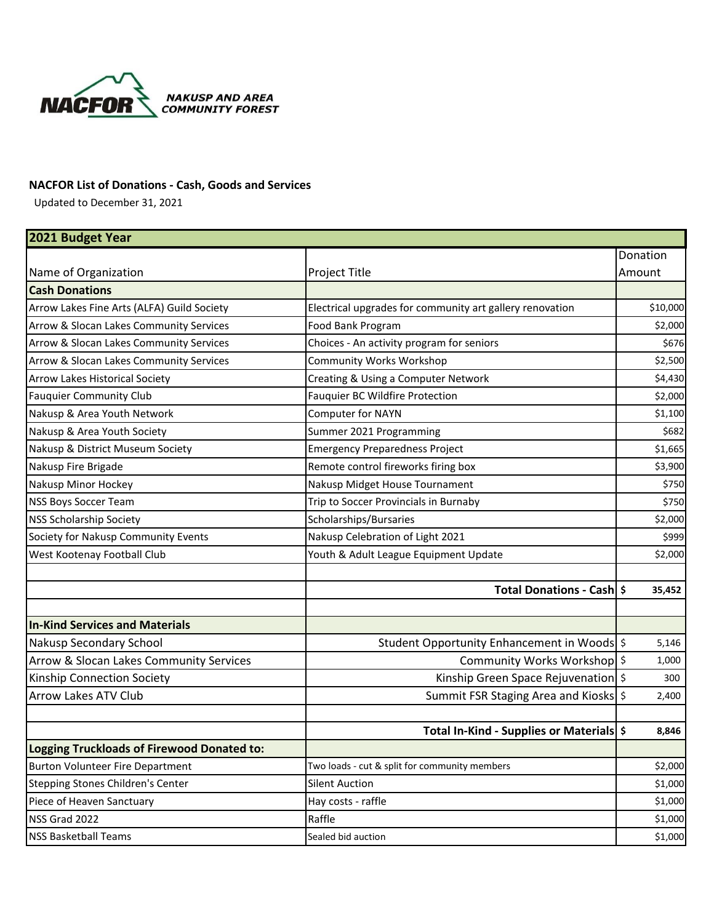

## **NACFOR List of Donations - Cash, Goods and Services**

Updated to December 31, 2021

| 2021 Budget Year                           |                                                          |          |
|--------------------------------------------|----------------------------------------------------------|----------|
|                                            |                                                          | Donation |
| Name of Organization                       | Project Title                                            | Amount   |
| <b>Cash Donations</b>                      |                                                          |          |
| Arrow Lakes Fine Arts (ALFA) Guild Society | Electrical upgrades for community art gallery renovation | \$10,000 |
| Arrow & Slocan Lakes Community Services    | Food Bank Program                                        | \$2,000  |
| Arrow & Slocan Lakes Community Services    | Choices - An activity program for seniors                | \$676    |
| Arrow & Slocan Lakes Community Services    | <b>Community Works Workshop</b>                          | \$2,500  |
| <b>Arrow Lakes Historical Society</b>      | Creating & Using a Computer Network                      | \$4,430  |
| <b>Fauquier Community Club</b>             | <b>Fauquier BC Wildfire Protection</b>                   | \$2,000  |
| Nakusp & Area Youth Network                | Computer for NAYN                                        | \$1,100  |
| Nakusp & Area Youth Society                | Summer 2021 Programming                                  | \$682    |
| Nakusp & District Museum Society           | <b>Emergency Preparedness Project</b>                    | \$1,665  |
| Nakusp Fire Brigade                        | Remote control fireworks firing box                      | \$3,900  |
| Nakusp Minor Hockey                        | Nakusp Midget House Tournament                           | \$750    |
| <b>NSS Boys Soccer Team</b>                | Trip to Soccer Provincials in Burnaby                    | \$750    |
| <b>NSS Scholarship Society</b>             | Scholarships/Bursaries                                   | \$2,000  |
| Society for Nakusp Community Events        | Nakusp Celebration of Light 2021                         | \$999    |
| West Kootenay Football Club                | Youth & Adult League Equipment Update                    | \$2,000  |
|                                            |                                                          |          |
|                                            | Total Donations - Cash   \$                              | 35,452   |
|                                            |                                                          |          |
| <b>In-Kind Services and Materials</b>      |                                                          |          |
| Nakusp Secondary School                    | Student Opportunity Enhancement in Woods \$              | 5,146    |
| Arrow & Slocan Lakes Community Services    | Community Works Workshop \$                              | 1,000    |
| Kinship Connection Society                 | Kinship Green Space Rejuvenation \$                      | 300      |
| <b>Arrow Lakes ATV Club</b>                | Summit FSR Staging Area and Kiosks \$                    | 2,400    |
|                                            | Total In-Kind - Supplies or Materials \$                 | 8,846    |
| Logging Truckloads of Firewood Donated to: |                                                          |          |
| <b>Burton Volunteer Fire Department</b>    | Two loads - cut & split for community members            | \$2,000  |
| Stepping Stones Children's Center          | <b>Silent Auction</b>                                    | \$1,000  |
| Piece of Heaven Sanctuary                  | Hay costs - raffle                                       | \$1,000  |
| NSS Grad 2022                              | Raffle                                                   | \$1,000  |
| <b>NSS Basketball Teams</b>                | Sealed bid auction                                       | \$1,000  |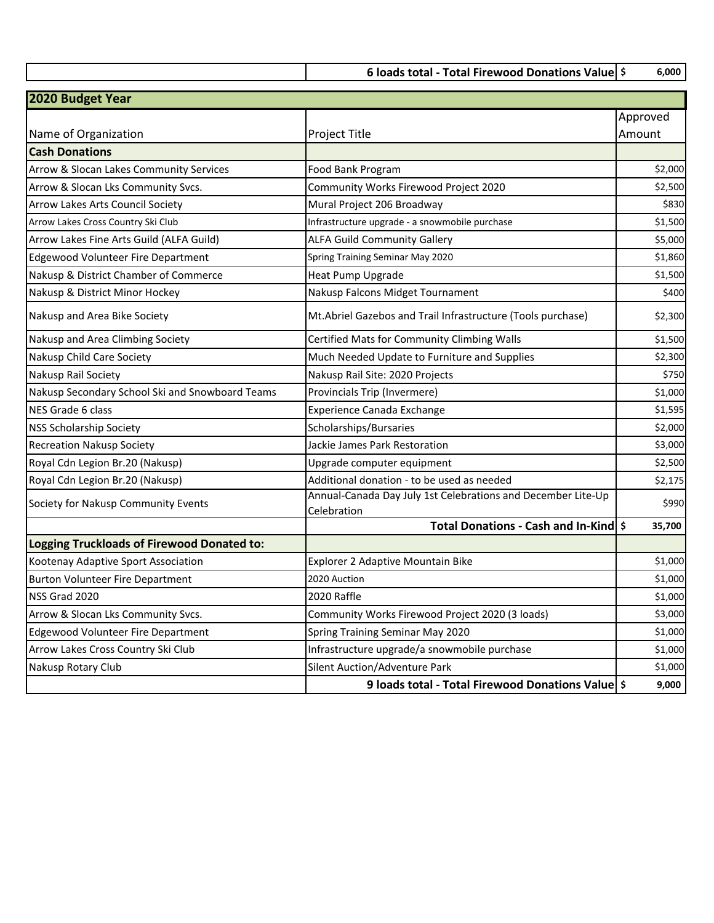**6 loads total - Total Firewood Donations Value \$ 6,000** 

| 2020 Budget Year                                  |                                                                             |          |
|---------------------------------------------------|-----------------------------------------------------------------------------|----------|
|                                                   |                                                                             | Approved |
| Name of Organization                              | Project Title                                                               | Amount   |
| <b>Cash Donations</b>                             |                                                                             |          |
| Arrow & Slocan Lakes Community Services           | Food Bank Program                                                           | \$2,000  |
| Arrow & Slocan Lks Community Svcs.                | Community Works Firewood Project 2020                                       | \$2,500  |
| Arrow Lakes Arts Council Society                  | Mural Project 206 Broadway                                                  | \$830    |
| Arrow Lakes Cross Country Ski Club                | Infrastructure upgrade - a snowmobile purchase                              | \$1,500  |
| Arrow Lakes Fine Arts Guild (ALFA Guild)          | <b>ALFA Guild Community Gallery</b>                                         | \$5,000  |
| <b>Edgewood Volunteer Fire Department</b>         | Spring Training Seminar May 2020                                            | \$1,860  |
| Nakusp & District Chamber of Commerce             | <b>Heat Pump Upgrade</b>                                                    | \$1,500  |
| Nakusp & District Minor Hockey                    | Nakusp Falcons Midget Tournament                                            | \$400    |
| Nakusp and Area Bike Society                      | Mt.Abriel Gazebos and Trail Infrastructure (Tools purchase)                 | \$2,300  |
| Nakusp and Area Climbing Society                  | Certified Mats for Community Climbing Walls                                 | \$1,500  |
| Nakusp Child Care Society                         | Much Needed Update to Furniture and Supplies                                | \$2,300  |
| Nakusp Rail Society                               | Nakusp Rail Site: 2020 Projects                                             | \$750    |
| Nakusp Secondary School Ski and Snowboard Teams   | Provincials Trip (Invermere)                                                | \$1,000  |
| <b>NES Grade 6 class</b>                          | <b>Experience Canada Exchange</b>                                           | \$1,595  |
| <b>NSS Scholarship Society</b>                    | Scholarships/Bursaries                                                      | \$2,000  |
| <b>Recreation Nakusp Society</b>                  | Jackie James Park Restoration                                               | \$3,000  |
| Royal Cdn Legion Br.20 (Nakusp)                   | Upgrade computer equipment                                                  | \$2,500  |
| Royal Cdn Legion Br.20 (Nakusp)                   | Additional donation - to be used as needed                                  | \$2,175  |
| Society for Nakusp Community Events               | Annual-Canada Day July 1st Celebrations and December Lite-Up<br>Celebration | \$990    |
|                                                   | Total Donations - Cash and In-Kind \$                                       | 35,700   |
| <b>Logging Truckloads of Firewood Donated to:</b> |                                                                             |          |
| Kootenay Adaptive Sport Association               | Explorer 2 Adaptive Mountain Bike                                           | \$1,000  |
| <b>Burton Volunteer Fire Department</b>           | 2020 Auction                                                                | \$1,000  |
| NSS Grad 2020                                     | 2020 Raffle                                                                 | \$1,000  |
| Arrow & Slocan Lks Community Svcs.                | Community Works Firewood Project 2020 (3 loads)                             | \$3,000  |
| <b>Edgewood Volunteer Fire Department</b>         | Spring Training Seminar May 2020                                            | \$1,000  |
| Arrow Lakes Cross Country Ski Club                | Infrastructure upgrade/a snowmobile purchase                                | \$1,000  |
| Nakusp Rotary Club                                | Silent Auction/Adventure Park                                               | \$1,000  |
|                                                   | 9 loads total - Total Firewood Donations Value \$                           | 9,000    |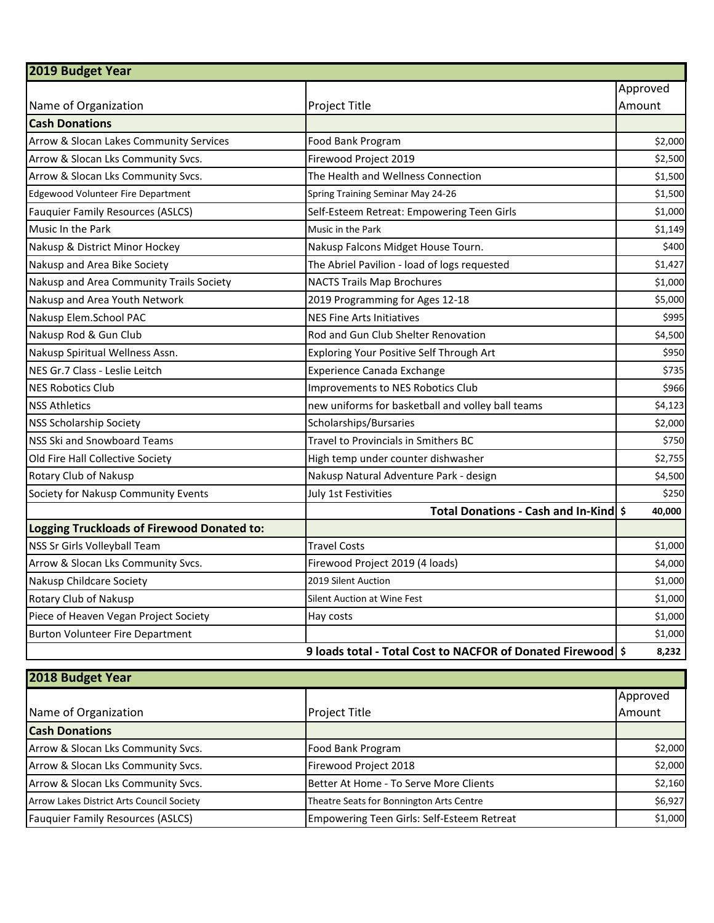| 2019 Budget Year                           |                                                             |          |
|--------------------------------------------|-------------------------------------------------------------|----------|
|                                            |                                                             | Approved |
| Name of Organization                       | Project Title                                               | Amount   |
| <b>Cash Donations</b>                      |                                                             |          |
| Arrow & Slocan Lakes Community Services    | Food Bank Program                                           | \$2,000  |
| Arrow & Slocan Lks Community Svcs.         | Firewood Project 2019                                       | \$2,500  |
| Arrow & Slocan Lks Community Svcs.         | The Health and Wellness Connection                          | \$1,500  |
| <b>Edgewood Volunteer Fire Department</b>  | Spring Training Seminar May 24-26                           | \$1,500  |
| <b>Fauquier Family Resources (ASLCS)</b>   | Self-Esteem Retreat: Empowering Teen Girls                  | \$1,000  |
| Music In the Park                          | Music in the Park                                           | \$1,149  |
| Nakusp & District Minor Hockey             | Nakusp Falcons Midget House Tourn.                          | \$400    |
| Nakusp and Area Bike Society               | The Abriel Pavilion - load of logs requested                | \$1,427  |
| Nakusp and Area Community Trails Society   | <b>NACTS Trails Map Brochures</b>                           | \$1,000  |
| Nakusp and Area Youth Network              | 2019 Programming for Ages 12-18                             | \$5,000  |
| Nakusp Elem.School PAC                     | <b>NES Fine Arts Initiatives</b>                            | \$995    |
| Nakusp Rod & Gun Club                      | Rod and Gun Club Shelter Renovation                         | \$4,500  |
| Nakusp Spiritual Wellness Assn.            | Exploring Your Positive Self Through Art                    | \$950    |
| NES Gr.7 Class - Leslie Leitch             | <b>Experience Canada Exchange</b>                           | \$735    |
| <b>NES Robotics Club</b>                   | Improvements to NES Robotics Club                           | \$966    |
| <b>NSS Athletics</b>                       | new uniforms for basketball and volley ball teams           | \$4,123  |
| <b>NSS Scholarship Society</b>             | Scholarships/Bursaries                                      | \$2,000  |
| NSS Ski and Snowboard Teams                | Travel to Provincials in Smithers BC                        | \$750    |
| Old Fire Hall Collective Society           | High temp under counter dishwasher                          | \$2,755  |
| Rotary Club of Nakusp                      | Nakusp Natural Adventure Park - design                      | \$4,500  |
| Society for Nakusp Community Events        | July 1st Festivities                                        | \$250    |
|                                            | Total Donations - Cash and In-Kind \$                       | 40,000   |
| Logging Truckloads of Firewood Donated to: |                                                             |          |
| NSS Sr Girls Volleyball Team               | <b>Travel Costs</b>                                         | \$1,000  |
| Arrow & Slocan Lks Community Svcs.         | Firewood Project 2019 (4 loads)                             | \$4,000  |
| Nakusp Childcare Society                   | 2019 Silent Auction                                         | \$1,000  |
| Rotary Club of Nakusp                      | Silent Auction at Wine Fest                                 | \$1,000  |
| Piece of Heaven Vegan Project Society      | Hay costs                                                   | \$1,000  |
| <b>Burton Volunteer Fire Department</b>    |                                                             | \$1,000  |
|                                            | 9 loads total - Total Cost to NACFOR of Donated Firewood \$ | 8,232    |

| 2018 Budget Year                          |                                            |          |  |
|-------------------------------------------|--------------------------------------------|----------|--|
|                                           |                                            | Approved |  |
| Name of Organization                      | <b>Project Title</b>                       | Amount   |  |
| <b>Cash Donations</b>                     |                                            |          |  |
| Arrow & Slocan Lks Community Svcs.        | Food Bank Program                          | \$2,000  |  |
| Arrow & Slocan Lks Community Svcs.        | Firewood Project 2018                      | \$2,000  |  |
| Arrow & Slocan Lks Community Svcs.        | Better At Home - To Serve More Clients     | \$2,160  |  |
| Arrow Lakes District Arts Council Society | Theatre Seats for Bonnington Arts Centre   | \$6,927  |  |
| Fauquier Family Resources (ASLCS)         | Empowering Teen Girls: Self-Esteem Retreat | \$1,000  |  |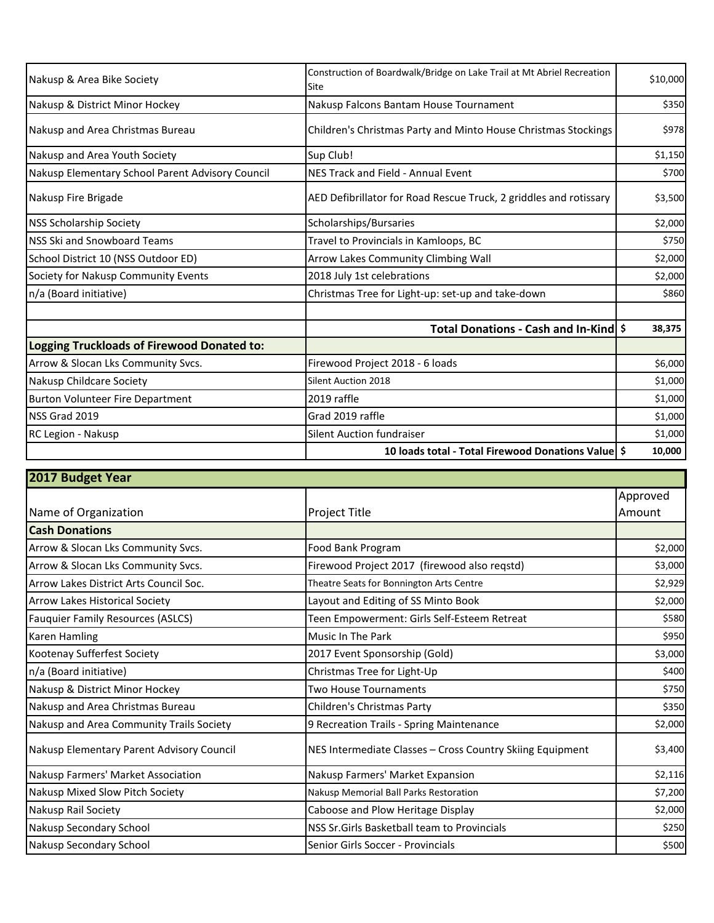| Nakusp & Area Bike Society                       | Construction of Boardwalk/Bridge on Lake Trail at Mt Abriel Recreation<br>Site | \$10,000 |
|--------------------------------------------------|--------------------------------------------------------------------------------|----------|
| Nakusp & District Minor Hockey                   | Nakusp Falcons Bantam House Tournament                                         | \$350    |
| Nakusp and Area Christmas Bureau                 | Children's Christmas Party and Minto House Christmas Stockings                 | \$978    |
| Nakusp and Area Youth Society                    | Sup Club!                                                                      | \$1,150  |
| Nakusp Elementary School Parent Advisory Council | NES Track and Field - Annual Event                                             | \$700    |
| Nakusp Fire Brigade                              | AED Defibrillator for Road Rescue Truck, 2 griddles and rotissary              | \$3,500  |
| <b>NSS Scholarship Society</b>                   | Scholarships/Bursaries                                                         | \$2,000  |
| <b>INSS Ski and Snowboard Teams</b>              | Travel to Provincials in Kamloops, BC                                          | \$750    |
| School District 10 (NSS Outdoor ED)              | Arrow Lakes Community Climbing Wall                                            | \$2,000  |
| Society for Nakusp Community Events              | 2018 July 1st celebrations                                                     | \$2,000  |
| n/a (Board initiative)                           | Christmas Tree for Light-up: set-up and take-down                              | \$860    |
|                                                  | Total Donations - Cash and In-Kindl \$                                         | 38,375   |
| Logging Truckloads of Firewood Donated to:       |                                                                                |          |
| Arrow & Slocan Lks Community Svcs.               | Firewood Project 2018 - 6 loads                                                | \$6,000  |
| Nakusp Childcare Society                         | <b>Silent Auction 2018</b>                                                     | \$1,000  |
| <b>Burton Volunteer Fire Department</b>          | 2019 raffle                                                                    | \$1,000  |
| NSS Grad 2019                                    | Grad 2019 raffle                                                               | \$1,000  |
| RC Legion - Nakusp                               | <b>Silent Auction fundraiser</b>                                               | \$1,000  |
|                                                  | 10 loads total - Total Firewood Donations Value \$                             | 10,000   |

| 2017 Budget Year                          |                                                           |          |  |
|-------------------------------------------|-----------------------------------------------------------|----------|--|
|                                           |                                                           | Approved |  |
| Name of Organization                      | Project Title                                             | Amount   |  |
| <b>Cash Donations</b>                     |                                                           |          |  |
| Arrow & Slocan Lks Community Svcs.        | Food Bank Program                                         | \$2,000  |  |
| Arrow & Slocan Lks Community Svcs.        | Firewood Project 2017 (firewood also regstd)              | \$3,000  |  |
| Arrow Lakes District Arts Council Soc.    | Theatre Seats for Bonnington Arts Centre                  | \$2,929  |  |
| <b>Arrow Lakes Historical Society</b>     | Layout and Editing of SS Minto Book                       | \$2,000  |  |
| <b>Fauquier Family Resources (ASLCS)</b>  | Teen Empowerment: Girls Self-Esteem Retreat               | \$580    |  |
| Karen Hamling                             | Music In The Park                                         | \$950    |  |
| Kootenay Sufferfest Society               | 2017 Event Sponsorship (Gold)                             | \$3,000  |  |
| n/a (Board initiative)                    | Christmas Tree for Light-Up                               | \$400    |  |
| Nakusp & District Minor Hockey            | <b>Two House Tournaments</b>                              | \$750    |  |
| Nakusp and Area Christmas Bureau          | Children's Christmas Party                                | \$350    |  |
| Nakusp and Area Community Trails Society  | 9 Recreation Trails - Spring Maintenance                  | \$2,000  |  |
| Nakusp Elementary Parent Advisory Council | NES Intermediate Classes - Cross Country Skiing Equipment | \$3,400  |  |
| Nakusp Farmers' Market Association        | Nakusp Farmers' Market Expansion                          | \$2,116  |  |
| Nakusp Mixed Slow Pitch Society           | Nakusp Memorial Ball Parks Restoration                    | \$7,200  |  |
| Nakusp Rail Society                       | Caboose and Plow Heritage Display                         | \$2,000  |  |
| Nakusp Secondary School                   | NSS Sr. Girls Basketball team to Provincials              | \$250    |  |
| Nakusp Secondary School                   | Senior Girls Soccer - Provincials                         | \$500    |  |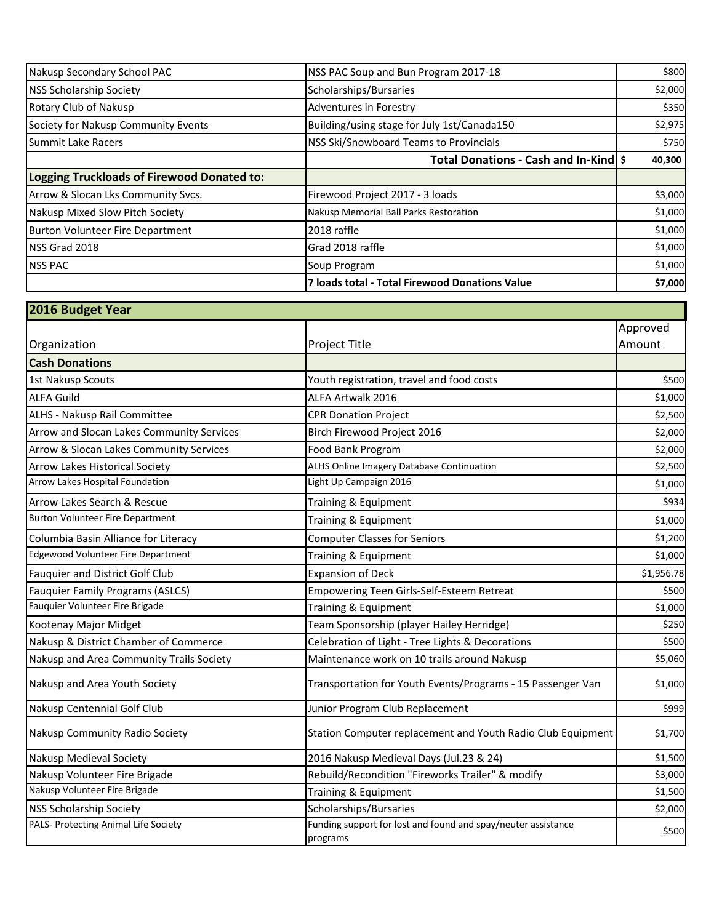| Nakusp Secondary School PAC                | NSS PAC Soup and Bun Program 2017-18           | \$800   |
|--------------------------------------------|------------------------------------------------|---------|
| <b>NSS Scholarship Society</b>             | Scholarships/Bursaries                         | \$2,000 |
| Rotary Club of Nakusp                      | Adventures in Forestry                         | \$350   |
| Society for Nakusp Community Events        | Building/using stage for July 1st/Canada150    | \$2,975 |
| <b>Summit Lake Racers</b>                  | <b>NSS Ski/Snowboard Teams to Provincials</b>  | \$750   |
|                                            | Total Donations - Cash and In-Kind \$          | 40,300  |
| Logging Truckloads of Firewood Donated to: |                                                |         |
| Arrow & Slocan Lks Community Svcs.         | Firewood Project 2017 - 3 loads                | \$3,000 |
| Nakusp Mixed Slow Pitch Society            | Nakusp Memorial Ball Parks Restoration         | \$1,000 |
| Burton Volunteer Fire Department           | 2018 raffle                                    | \$1,000 |
| <b>NSS Grad 2018</b>                       | Grad 2018 raffle                               | \$1,000 |
| <b>NSS PAC</b>                             | Soup Program                                   | \$1,000 |
|                                            | 7 loads total - Total Firewood Donations Value | \$7,000 |

| 2016 Budget Year                          |                                                                           |            |
|-------------------------------------------|---------------------------------------------------------------------------|------------|
|                                           |                                                                           | Approved   |
| Organization                              | Project Title                                                             | Amount     |
| <b>Cash Donations</b>                     |                                                                           |            |
| 1st Nakusp Scouts                         | Youth registration, travel and food costs                                 | \$500      |
| <b>ALFA Guild</b>                         | ALFA Artwalk 2016                                                         | \$1,000    |
| ALHS - Nakusp Rail Committee              | <b>CPR Donation Project</b>                                               | \$2,500    |
| Arrow and Slocan Lakes Community Services | Birch Firewood Project 2016                                               | \$2,000    |
| Arrow & Slocan Lakes Community Services   | Food Bank Program                                                         | \$2,000    |
| <b>Arrow Lakes Historical Society</b>     | ALHS Online Imagery Database Continuation                                 | \$2,500    |
| Arrow Lakes Hospital Foundation           | Light Up Campaign 2016                                                    | \$1,000    |
| Arrow Lakes Search & Rescue               | Training & Equipment                                                      | \$934      |
| <b>Burton Volunteer Fire Department</b>   | Training & Equipment                                                      | \$1,000    |
| Columbia Basin Alliance for Literacy      | <b>Computer Classes for Seniors</b>                                       | \$1,200    |
| <b>Edgewood Volunteer Fire Department</b> | Training & Equipment                                                      | \$1,000    |
| Fauquier and District Golf Club           | <b>Expansion of Deck</b>                                                  | \$1,956.78 |
| <b>Fauquier Family Programs (ASLCS)</b>   | Empowering Teen Girls-Self-Esteem Retreat                                 | \$500      |
| Fauquier Volunteer Fire Brigade           | Training & Equipment                                                      | \$1,000    |
| Kootenay Major Midget                     | Team Sponsorship (player Hailey Herridge)                                 | \$250      |
| Nakusp & District Chamber of Commerce     | Celebration of Light - Tree Lights & Decorations                          | \$500      |
| Nakusp and Area Community Trails Society  | Maintenance work on 10 trails around Nakusp                               | \$5,060    |
| Nakusp and Area Youth Society             | Transportation for Youth Events/Programs - 15 Passenger Van               | \$1,000    |
| Nakusp Centennial Golf Club               | Junior Program Club Replacement                                           | \$999      |
| Nakusp Community Radio Society            | Station Computer replacement and Youth Radio Club Equipment               | \$1,700    |
| <b>Nakusp Medieval Society</b>            | 2016 Nakusp Medieval Days (Jul.23 & 24)                                   | \$1,500    |
| Nakusp Volunteer Fire Brigade             | Rebuild/Recondition "Fireworks Trailer" & modify                          | \$3,000    |
| Nakusp Volunteer Fire Brigade             | Training & Equipment                                                      | \$1,500    |
| <b>NSS Scholarship Society</b>            | Scholarships/Bursaries                                                    | \$2,000    |
| PALS- Protecting Animal Life Society      | Funding support for lost and found and spay/neuter assistance<br>programs | \$500      |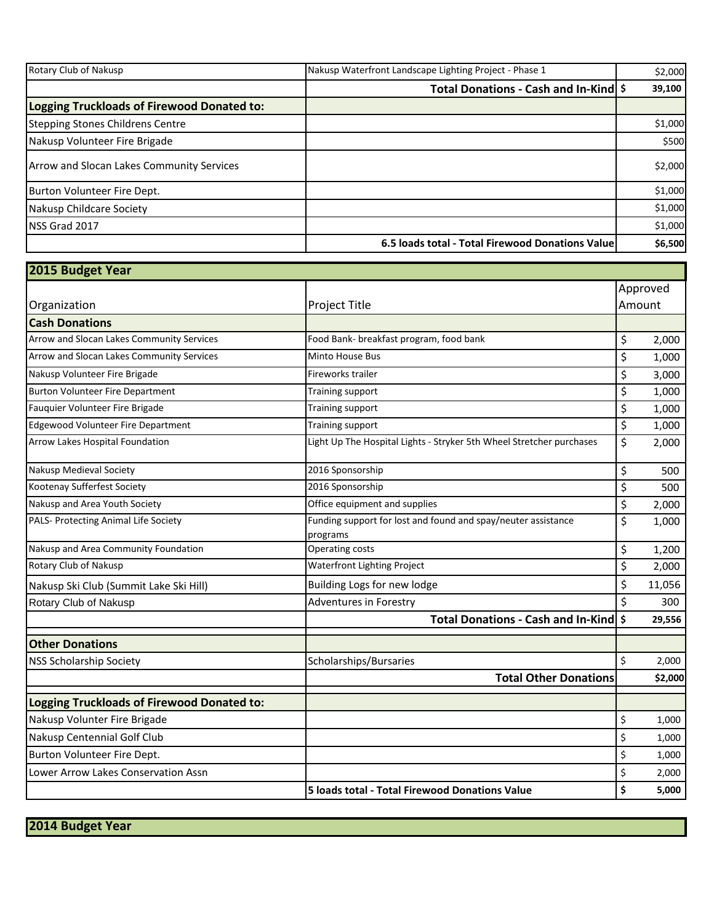| <b>Rotary Club of Nakusp</b>                     | Nakusp Waterfront Landscape Lighting Project - Phase 1 | \$2,000 |
|--------------------------------------------------|--------------------------------------------------------|---------|
|                                                  | Total Donations - Cash and In-Kind \$                  | 39,100  |
| Logging Truckloads of Firewood Donated to:       |                                                        |         |
| Stepping Stones Childrens Centre                 |                                                        | \$1,000 |
| Nakusp Volunteer Fire Brigade                    |                                                        | \$500   |
| <b>Arrow and Slocan Lakes Community Services</b> |                                                        | \$2,000 |
| Burton Volunteer Fire Dept.                      |                                                        | \$1,000 |
| Nakusp Childcare Society                         |                                                        | \$1,000 |
| <b>NSS Grad 2017</b>                             |                                                        | \$1,000 |
|                                                  | 6.5 loads total - Total Firewood Donations Value       | \$6,500 |

| 2015 Budget Year                                  |                                                                           |                    |         |
|---------------------------------------------------|---------------------------------------------------------------------------|--------------------|---------|
|                                                   |                                                                           | Approved<br>Amount |         |
| Organization                                      | Project Title                                                             |                    |         |
| <b>Cash Donations</b>                             |                                                                           |                    |         |
| Arrow and Slocan Lakes Community Services         | Food Bank- breakfast program, food bank                                   | \$                 | 2,000   |
| Arrow and Slocan Lakes Community Services         | Minto House Bus                                                           | \$                 | 1,000   |
| Nakusp Volunteer Fire Brigade                     | Fireworks trailer                                                         | \$                 | 3,000   |
| <b>Burton Volunteer Fire Department</b>           | Training support                                                          | \$                 | 1,000   |
| Fauquier Volunteer Fire Brigade                   | Training support                                                          | \$                 | 1,000   |
| Edgewood Volunteer Fire Department                | Training support                                                          | \$                 | 1,000   |
| Arrow Lakes Hospital Foundation                   | Light Up The Hospital Lights - Stryker 5th Wheel Stretcher purchases      | \$                 | 2,000   |
| Nakusp Medieval Society                           | 2016 Sponsorship                                                          | \$                 | 500     |
| Kootenay Sufferfest Society                       | 2016 Sponsorship                                                          | \$                 | 500     |
| Nakusp and Area Youth Society                     | Office equipment and supplies                                             | \$                 | 2,000   |
| PALS- Protecting Animal Life Society              | Funding support for lost and found and spay/neuter assistance<br>programs | \$                 | 1,000   |
| Nakusp and Area Community Foundation              | Operating costs                                                           | \$                 | 1,200   |
| Rotary Club of Nakusp                             | <b>Waterfront Lighting Project</b>                                        | \$                 | 2,000   |
| Nakusp Ski Club (Summit Lake Ski Hill)            | Building Logs for new lodge                                               | \$                 | 11,056  |
| Rotary Club of Nakusp                             | <b>Adventures in Forestry</b>                                             | \$                 | 300     |
|                                                   | Total Donations - Cash and In-Kind \$                                     |                    | 29,556  |
| <b>Other Donations</b>                            |                                                                           |                    |         |
| <b>NSS Scholarship Society</b>                    | Scholarships/Bursaries                                                    | \$                 | 2,000   |
|                                                   | <b>Total Other Donations</b>                                              |                    | \$2,000 |
| <b>Logging Truckloads of Firewood Donated to:</b> |                                                                           |                    |         |
| Nakusp Volunter Fire Brigade                      |                                                                           | \$                 | 1,000   |
| Nakusp Centennial Golf Club                       |                                                                           | \$                 | 1,000   |
| Burton Volunteer Fire Dept.                       |                                                                           | \$                 | 1,000   |
| Lower Arrow Lakes Conservation Assn               |                                                                           | \$                 | 2,000   |
|                                                   | 5 loads total - Total Firewood Donations Value                            | \$                 | 5,000   |

**2014 Budget Year**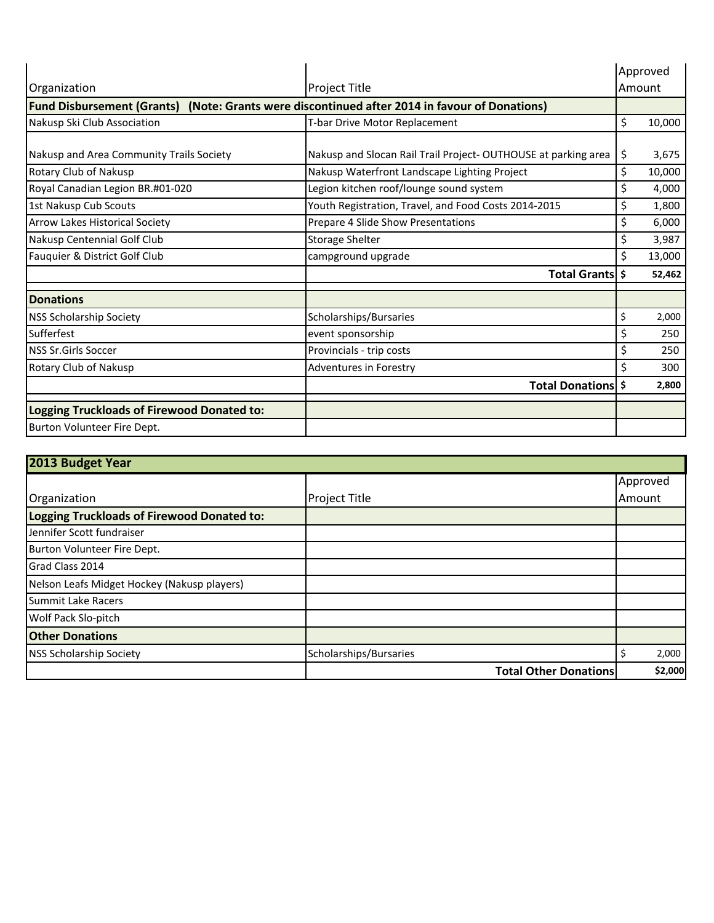|                                                                                               |                                                               | Approved     |  |
|-----------------------------------------------------------------------------------------------|---------------------------------------------------------------|--------------|--|
| Organization                                                                                  | <b>Project Title</b>                                          | Amount       |  |
| Fund Disbursement (Grants) (Note: Grants were discontinued after 2014 in favour of Donations) |                                                               |              |  |
| Nakusp Ski Club Association                                                                   | T-bar Drive Motor Replacement                                 | \$<br>10,000 |  |
| Nakusp and Area Community Trails Society                                                      | Nakusp and Slocan Rail Trail Project-OUTHOUSE at parking area | \$<br>3,675  |  |
| Rotary Club of Nakusp                                                                         | Nakusp Waterfront Landscape Lighting Project                  | \$<br>10,000 |  |
| Royal Canadian Legion BR.#01-020                                                              | Legion kitchen roof/lounge sound system                       | \$<br>4,000  |  |
| 1st Nakusp Cub Scouts                                                                         | Youth Registration, Travel, and Food Costs 2014-2015          | \$<br>1,800  |  |
| <b>Arrow Lakes Historical Society</b>                                                         | Prepare 4 Slide Show Presentations                            | \$<br>6,000  |  |
| Nakusp Centennial Golf Club                                                                   | <b>Storage Shelter</b>                                        | \$<br>3,987  |  |
| Fauquier & District Golf Club                                                                 | campground upgrade                                            | \$<br>13,000 |  |
|                                                                                               | Total Grants \$                                               | 52,462       |  |
| <b>Donations</b>                                                                              |                                                               |              |  |
| <b>NSS Scholarship Society</b>                                                                | Scholarships/Bursaries                                        | \$<br>2,000  |  |
| Sufferfest                                                                                    | event sponsorship                                             | \$<br>250    |  |
| <b>NSS Sr.Girls Soccer</b>                                                                    | Provincials - trip costs                                      | \$<br>250    |  |
| Rotary Club of Nakusp                                                                         | Adventures in Forestry                                        | \$<br>300    |  |
|                                                                                               | Total Donations \$                                            | 2,800        |  |
| <b>Logging Truckloads of Firewood Donated to:</b>                                             |                                                               |              |  |
| Burton Volunteer Fire Dept.                                                                   |                                                               |              |  |

| 2013 Budget Year                            |                              |          |         |
|---------------------------------------------|------------------------------|----------|---------|
|                                             |                              | Approved |         |
| Organization                                | <b>Project Title</b>         | Amount   |         |
| Logging Truckloads of Firewood Donated to:  |                              |          |         |
| Jennifer Scott fundraiser                   |                              |          |         |
| Burton Volunteer Fire Dept.                 |                              |          |         |
| <b>I</b> Grad Class 2014                    |                              |          |         |
| Nelson Leafs Midget Hockey (Nakusp players) |                              |          |         |
| <b>Summit Lake Racers</b>                   |                              |          |         |
| Wolf Pack Slo-pitch                         |                              |          |         |
| <b>Other Donations</b>                      |                              |          |         |
| <b>NSS Scholarship Society</b>              | Scholarships/Bursaries       |          | 2,000   |
|                                             | <b>Total Other Donations</b> |          | \$2,000 |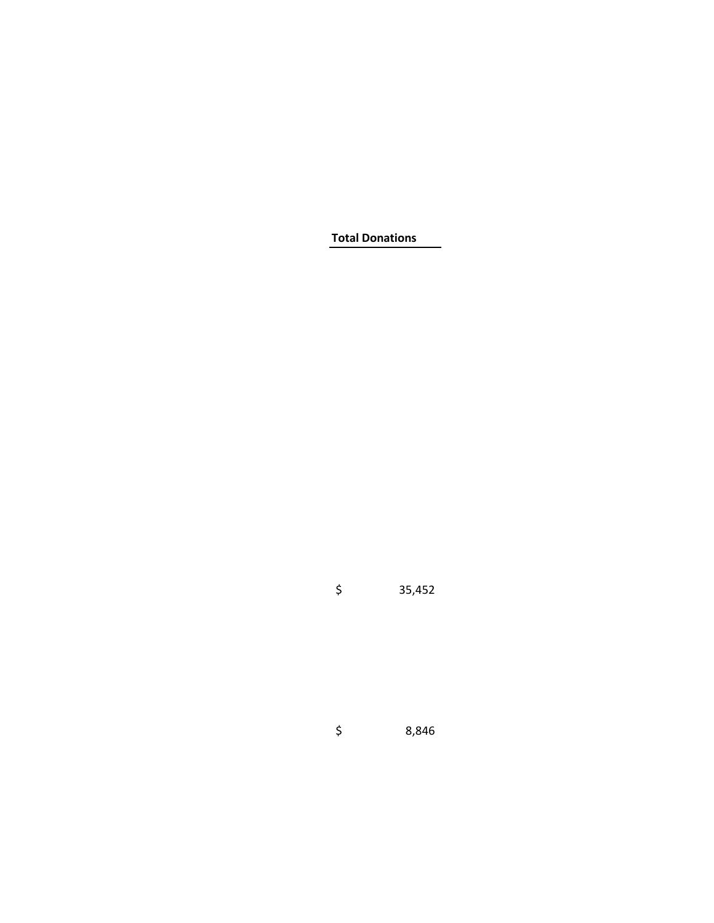**Total Donations**

 $\frac{1}{5}$  35,452

\$ 8,846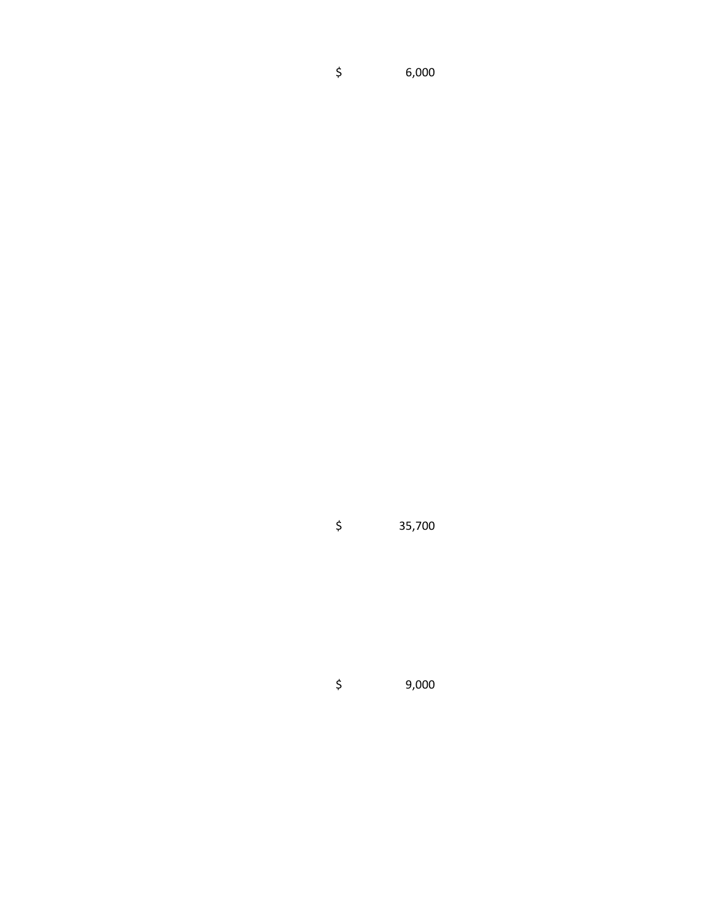\$ 6,000

\$ 35,700

\$ 9,000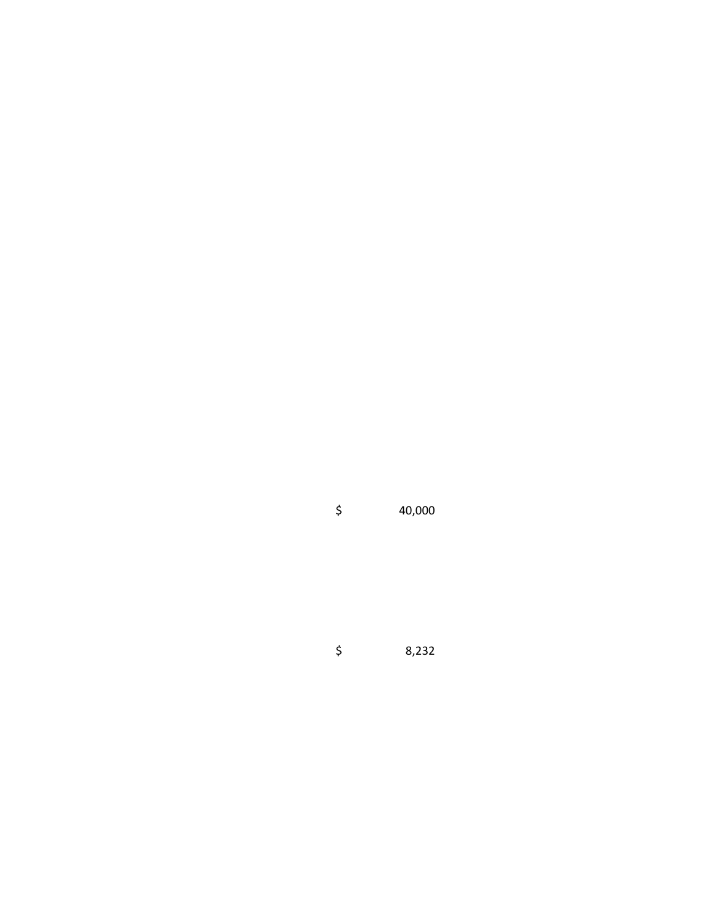$$ 40,000$ 

\$ 8,232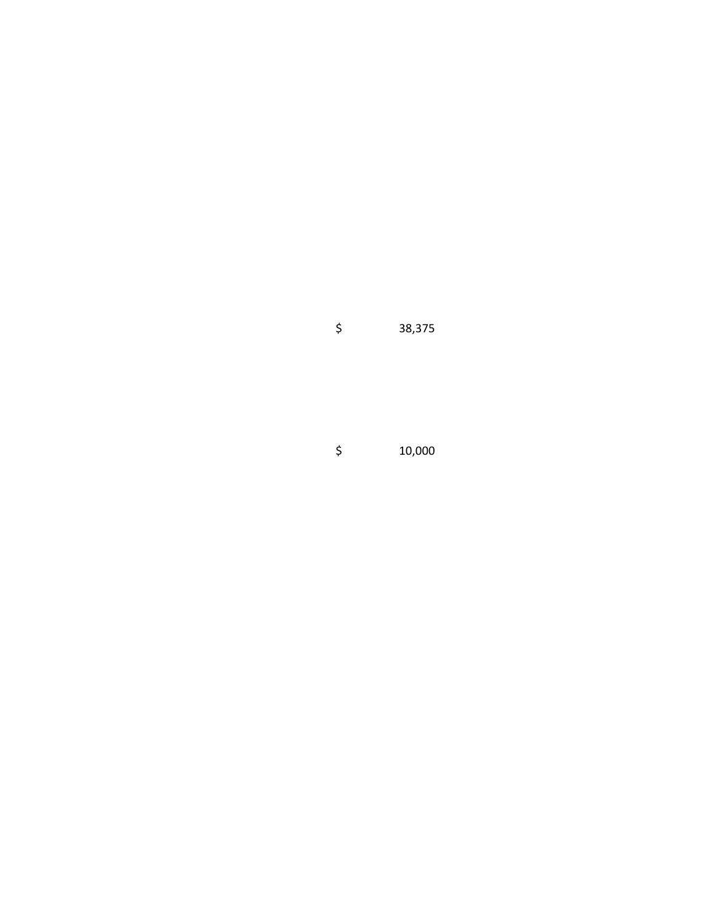\$ 38,375

\$ 10,000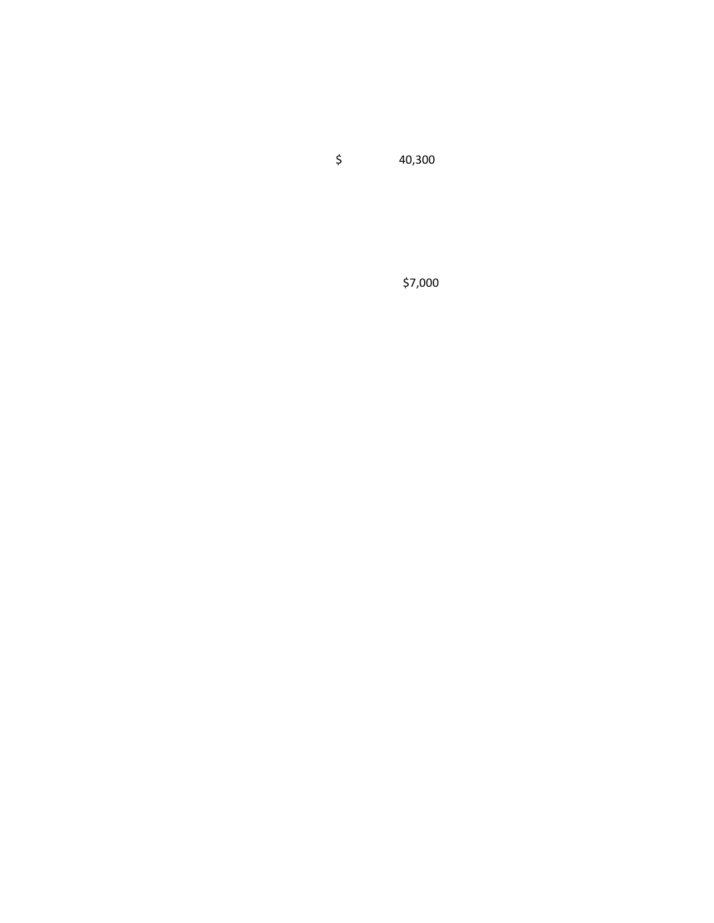\$ 40,300

\$7,000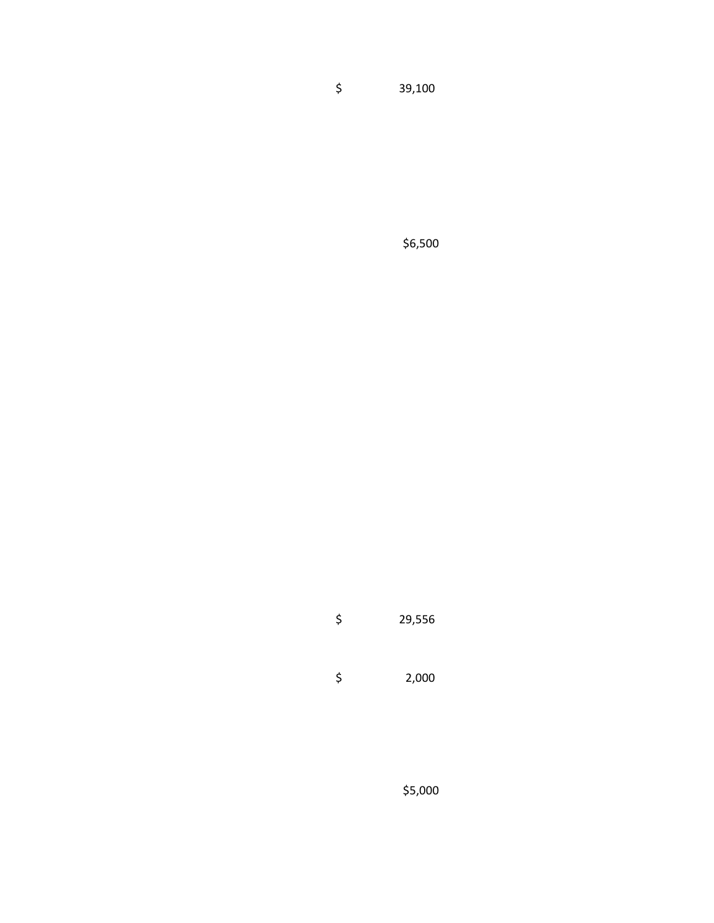\$ 39,100

\$6,500

\$ 29,556

\$ 2,000

\$5,000